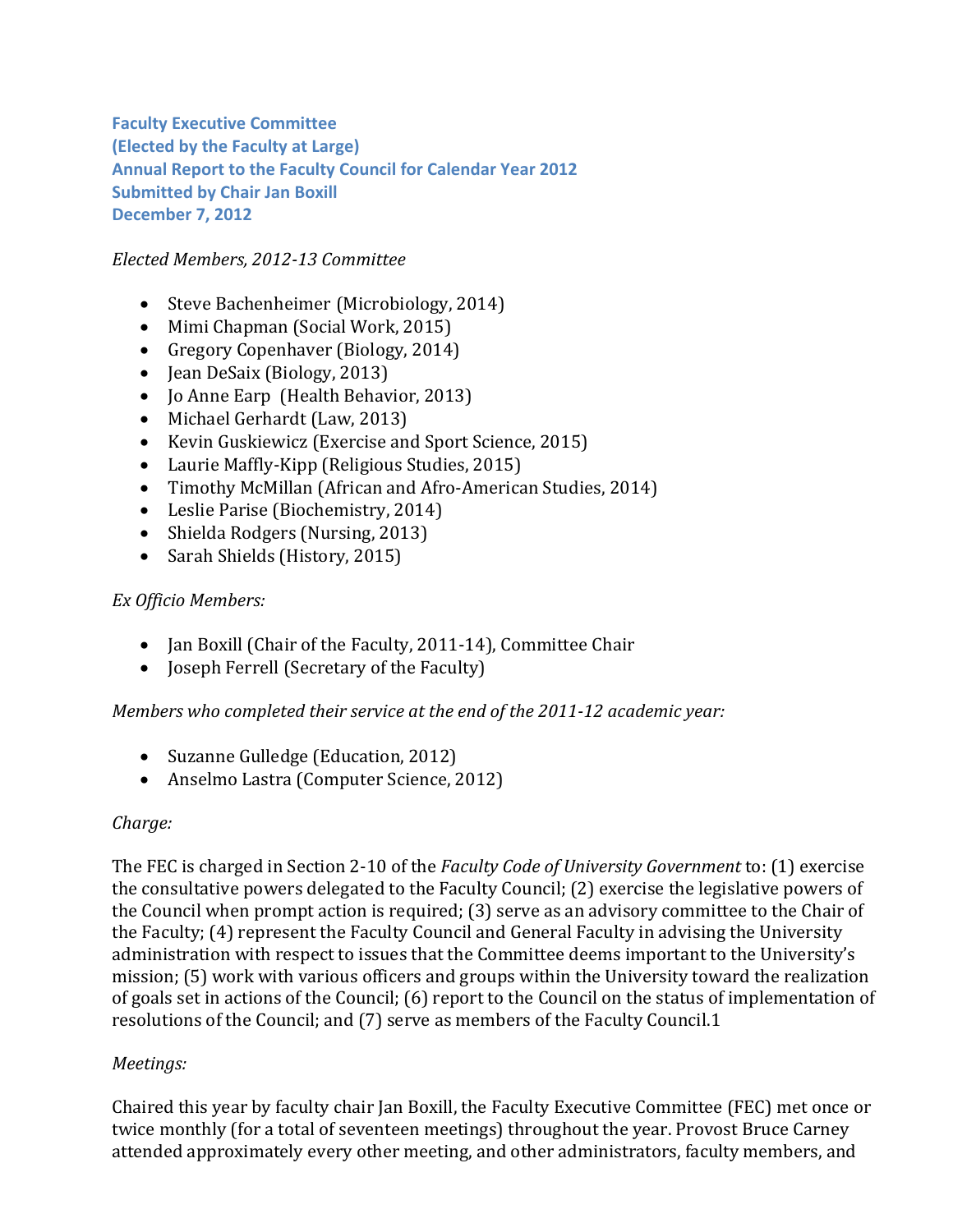**Faculty Executive Committee (Elected by the Faculty at Large) Annual Report to the Faculty Council for Calendar Year 2012 Submitted by Chair Jan Boxill December 7, 2012**

# *Elected Members, 2012‐13 Committee*

- Steve Bachenheimer (Microbiology, 2014)
- Mimi Chapman (Social Work, 2015)
- Gregory Copenhaver (Biology, 2014)
- Jean DeSaix (Biology, 2013)
- Jo Anne Earp (Health Behavior, 2013)
- Michael Gerhardt (Law, 2013)
- Kevin Guskiewicz (Exercise and Sport Science, 2015)
- Laurie Maffly-Kipp (Religious Studies, 2015)
- Timothy McMillan (African and Afro-American Studies, 2014)
- Leslie Parise (Biochemistry, 2014)
- Shielda Rodgers (Nursing, 2013)
- Sarah Shields (History, 2015)

## *Ex Officio Members:*

- Jan Boxill (Chair of the Faculty, 2011-14), Committee Chair
- Joseph Ferrell (Secretary of the Faculty)

## *Members who completed their service at the end of the 2011‐12 academic year:*

- Suzanne Gulledge (Education, 2012)
- Anselmo Lastra (Computer Science, 2012)

## *Charge:*

The FEC is charged in Section 2-10 of the *Faculty Code of University Government* to: (1) exercise the consultative powers delegated to the Faculty Council; (2) exercise the legislative powers of the Council when prompt action is required; (3) serve as an advisory committee to the Chair of the Faculty; (4) represent the Faculty Council and General Faculty in advising the University administration with respect to issues that the Committee deems important to the University's mission; (5) work with various officers and groups within the University toward the realization of goals set in actions of the Council; (6) report to the Council on the status of implementation of resolutions of the Council; and (7) serve as members of the Faculty Council.1

## *Meetings:*

Chaired this year by faculty chair Jan Boxill, the Faculty Executive Committee (FEC) met once or twice monthly (for a total of seventeen meetings) throughout the year. Provost Bruce Carney attended approximately every other meeting, and other administrators, faculty members, and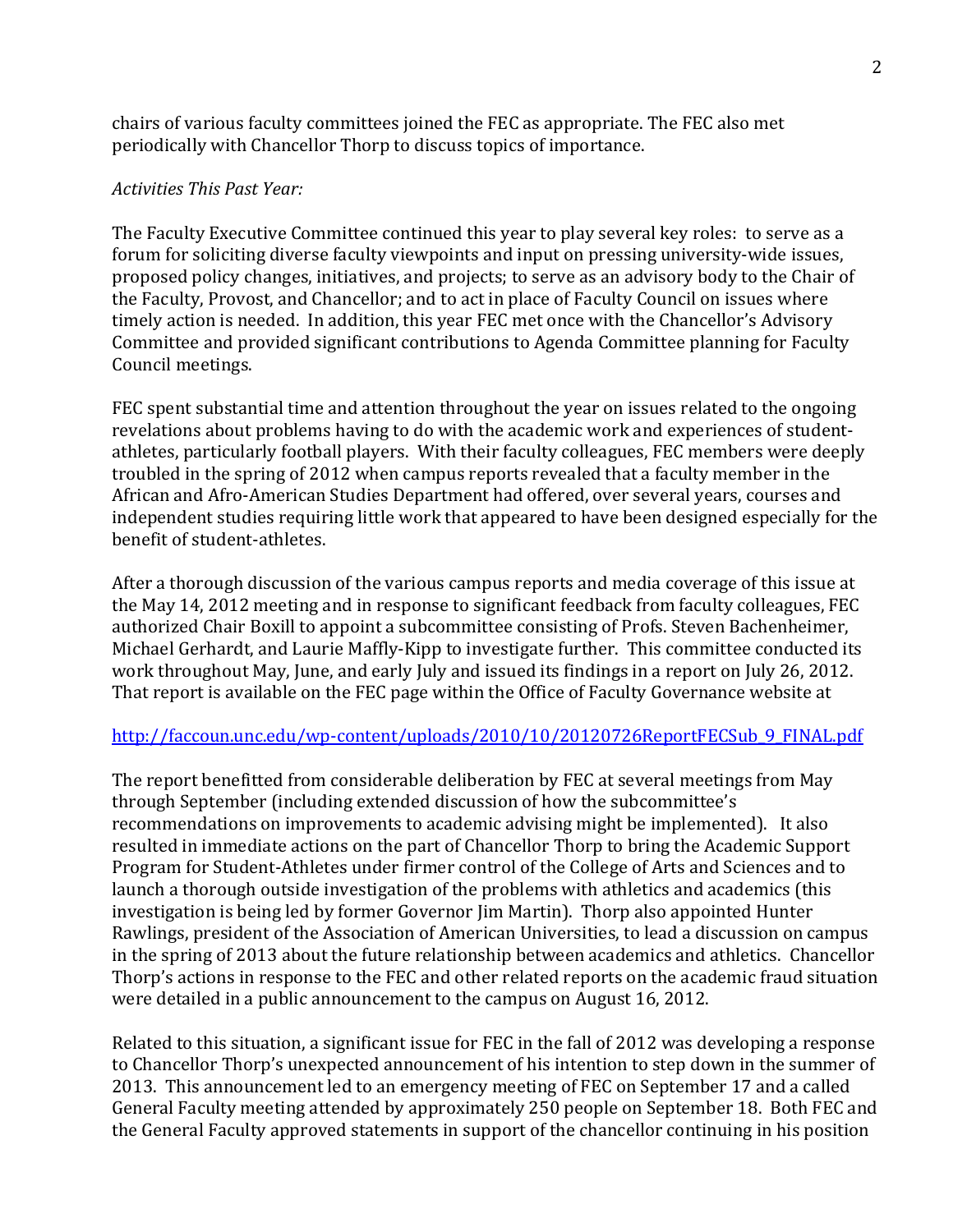chairs of various faculty committees joined the FEC as appropriate. The FEC also met periodically with Chancellor Thorp to discuss topics of importance.

#### *Activities This Past Year:*

The Faculty Executive Committee continued this year to play several key roles: to serve as a forum for soliciting diverse faculty viewpoints and input on pressing university-wide issues, proposed policy changes, initiatives, and projects; to serve as an advisory body to the Chair of the Faculty, Provost, and Chancellor; and to act in place of Faculty Council on issues where timely action is needed. In addition, this year FEC met once with the Chancellor's Advisory Committee and provided significant contributions to Agenda Committee planning for Faculty Council meetings.

FEC spent substantial time and attention throughout the year on issues related to the ongoing revelations about problems having to do with the academic work and experiences of studentathletes, particularly football players. With their faculty colleagues, FEC members were deeply troubled in the spring of 2012 when campus reports revealed that a faculty member in the African and Afro-American Studies Department had offered, over several years, courses and independent studies requiring little work that appeared to have been designed especially for the benefit of student-athletes.

After a thorough discussion of the various campus reports and media coverage of this issue at the May 14, 2012 meeting and in response to significant feedback from faculty colleagues, FEC authorized Chair Boxill to appoint a subcommittee consisting of Profs. Steven Bachenheimer, Michael Gerhardt, and Laurie Maffly-Kipp to investigate further. This committee conducted its work throughout May, June, and early July and issued its findings in a report on July 26, 2012. That report is available on the FEC page within the Office of Faculty Governance website at

#### http://faccoun.unc.edu/wp-content/uploads/2010/10/20120726ReportFECSub 9\_FINAL.pdf

The report benefitted from considerable deliberation by FEC at several meetings from May through September (including extended discussion of how the subcommittee's recommendations on improvements to academic advising might be implemented). It also resulted in immediate actions on the part of Chancellor Thorp to bring the Academic Support Program for Student-Athletes under firmer control of the College of Arts and Sciences and to launch a thorough outside investigation of the problems with athletics and academics (this investigation is being led by former Governor Jim Martin). Thorp also appointed Hunter Rawlings, president of the Association of American Universities, to lead a discussion on campus in the spring of 2013 about the future relationship between academics and athletics. Chancellor Thorp's actions in response to the FEC and other related reports on the academic fraud situation were detailed in a public announcement to the campus on August 16, 2012.

Related to this situation, a significant issue for FEC in the fall of 2012 was developing a response to Chancellor Thorp's unexpected announcement of his intention to step down in the summer of 2013. This announcement led to an emergency meeting of FEC on September 17 and a called General Faculty meeting attended by approximately 250 people on September 18. Both FEC and the General Faculty approved statements in support of the chancellor continuing in his position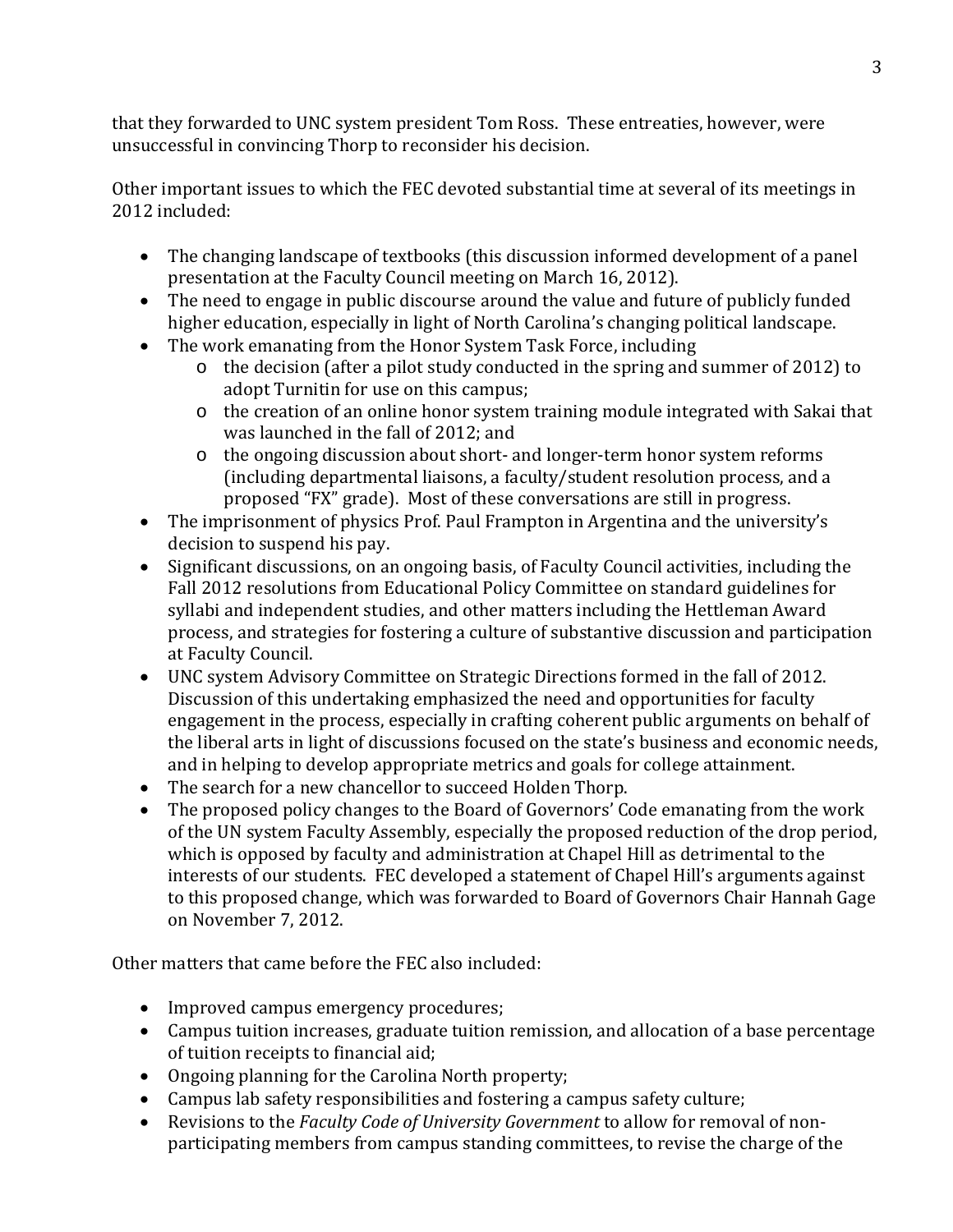that they forwarded to UNC system president Tom Ross. These entreaties, however, were unsuccessful in convincing Thorp to reconsider his decision.

Other important issues to which the FEC devoted substantial time at several of its meetings in 2012 included:

- The changing landscape of textbooks (this discussion informed development of a panel presentation at the Faculty Council meeting on March 16, 2012).
- The need to engage in public discourse around the value and future of publicly funded higher education, especially in light of North Carolina's changing political landscape.
- The work emanating from the Honor System Task Force, including
	- $\circ$  the decision (after a pilot study conducted in the spring and summer of 2012) to adopt Turnitin for use on this campus;
	- o the creation of an online honor system training module integrated with Sakai that was launched in the fall of 2012; and
	- $\circ$  the ongoing discussion about short- and longer-term honor system reforms (including departmental liaisons, a faculty/student resolution process, and a proposed "FX" grade). Most of these conversations are still in progress.
- The imprisonment of physics Prof. Paul Frampton in Argentina and the university's decision to suspend his pay.
- Significant discussions, on an ongoing basis, of Faculty Council activities, including the Fall 2012 resolutions from Educational Policy Committee on standard guidelines for syllabi and independent studies, and other matters including the Hettleman Award process, and strategies for fostering a culture of substantive discussion and participation at Faculty Council.
- UNC system Advisory Committee on Strategic Directions formed in the fall of 2012. Discussion of this undertaking emphasized the need and opportunities for faculty engagement in the process, especially in crafting coherent public arguments on behalf of the liberal arts in light of discussions focused on the state's business and economic needs, and in helping to develop appropriate metrics and goals for college attainment.
- The search for a new chancellor to succeed Holden Thorp.
- The proposed policy changes to the Board of Governors' Code emanating from the work of the UN system Faculty Assembly, especially the proposed reduction of the drop period, which is opposed by faculty and administration at Chapel Hill as detrimental to the interests of our students. FEC developed a statement of Chapel Hill's arguments against to this proposed change, which was forwarded to Board of Governors Chair Hannah Gage on November 7, 2012.

Other matters that came before the FEC also included:

- Improved campus emergency procedures;
- Campus tuition increases, graduate tuition remission, and allocation of a base percentage of tuition receipts to financial aid;
- Ongoing planning for the Carolina North property;
- Campus lab safety responsibilities and fostering a campus safety culture;
- Revisions to the *Faculty Code of University Government* to allow for removal of nonparticipating members from campus standing committees, to revise the charge of the